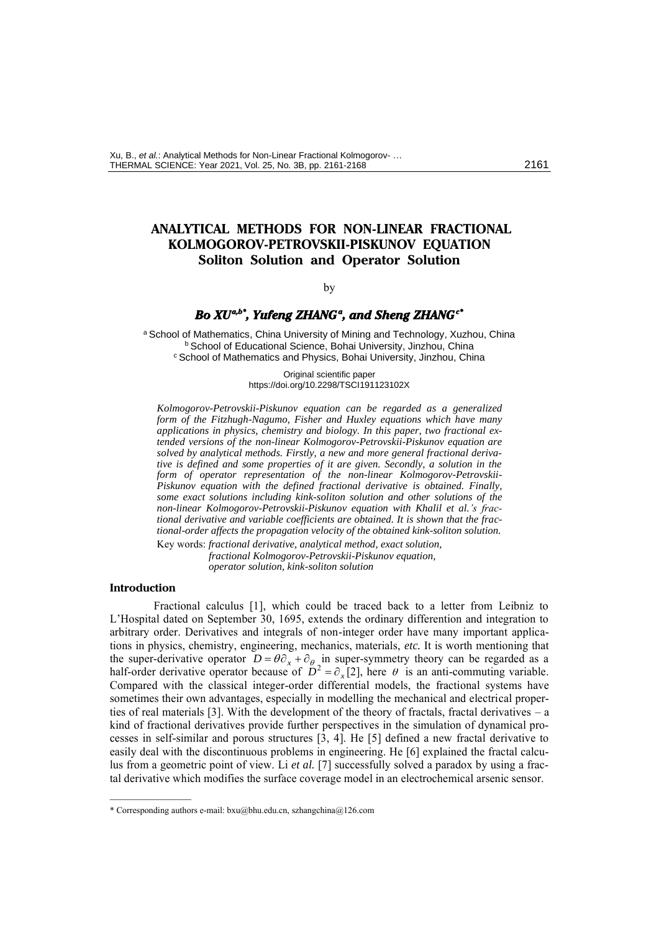# **ANALYTICAL METHODS FOR NON-LINEAR FRACTIONAL KOLMOGOROV-PETROVSKII-PISKUNOV EQUATION Soliton Solution and Operator Solution**

# <span id="page-0-0"></span>by

#### $\bm{Bo \ XU^{a,b}}$  , Yufeng ZHANG<sup>a</sup> , and Sheng ZHANG<sup>c</sup>

a School of Mathematics, China University of Mining and Technology, Xuzhou, China <sup>b</sup> School of Educational Science, Bohai University, Jinzhou, China <sup>c</sup> School of Mathematics and Physics, Bohai University, Jinzhou, China

> Original scientific paper https://doi.org/10.2298/TSCI191123102X

*Kolmogorov-Petrovskii-Piskunov equation can be regarded as a generalized form of the Fitzhugh-Nagumo, Fisher and Huxley equations which have many applications in physics, chemistry and biology. In this paper, two fractional extended versions of the non-linear Kolmogorov-Petrovskii-Piskunov equation are solved by analytical methods. Firstly, a new and more general fractional derivative is defined and some properties of it are given. Secondly, a solution in the form of operator representation of the non-linear Kolmogorov-Petrovskii-Piskunov equation with the defined fractional derivative is obtained. Finally, some exact solutions including kink-soliton solution and other solutions of the non-linear Kolmogorov-Petrovskii-Piskunov equation with Khalil et al.'s fractional derivative and variable coefficients are obtained. It is shown that the fractional-order affects the propagation velocity of the obtained kink-soliton solution.*

Key words: *fractional derivative, analytical method, exact solution, fractional Kolmogorov-Petrovskii-Piskunov equation, operator solution, kink-soliton solution*

# **Introduction**

––––––––––––––

Fractional calculus [1], which could be traced back to a letter from Leibniz to L'Hospital dated on September 30, 1695, extends the ordinary differention and integration to arbitrary order. Derivatives and integrals of non-integer order have many important applications in physics, chemistry, engineering, mechanics, materials, *etc.* It is worth mentioning that the super-derivative operator  $D = \theta \partial_x + \partial_\theta$  in super-symmetry theory can be regarded as a half-order derivative operator because of  $D^2 = \partial_x[2]$ , here  $\theta$  is an anti-commuting variable. Compared with the classical integer-order differential models, the fractional systems have sometimes their own advantages, especially in modelling the mechanical and electrical properties of real materials [3]. With the development of the theory of fractals, fractal derivatives – a kind of fractional derivatives provide further perspectives in the simulation of dynamical processes in self-similar and porous structures [3, 4]. He [5] defined a new fractal derivative to easily deal with the discontinuous problems in engineering. He [6] explained the fractal calculus from a geometric point of view. Li *et al.* [7] successfully solved a paradox by using a fractal derivative which modifies the surface coverage model in an electrochemical arsenic sensor.

<sup>\*</sup> Corresponding authors e-mail: bxu@bhu.edu.cn, szhangchina@126.com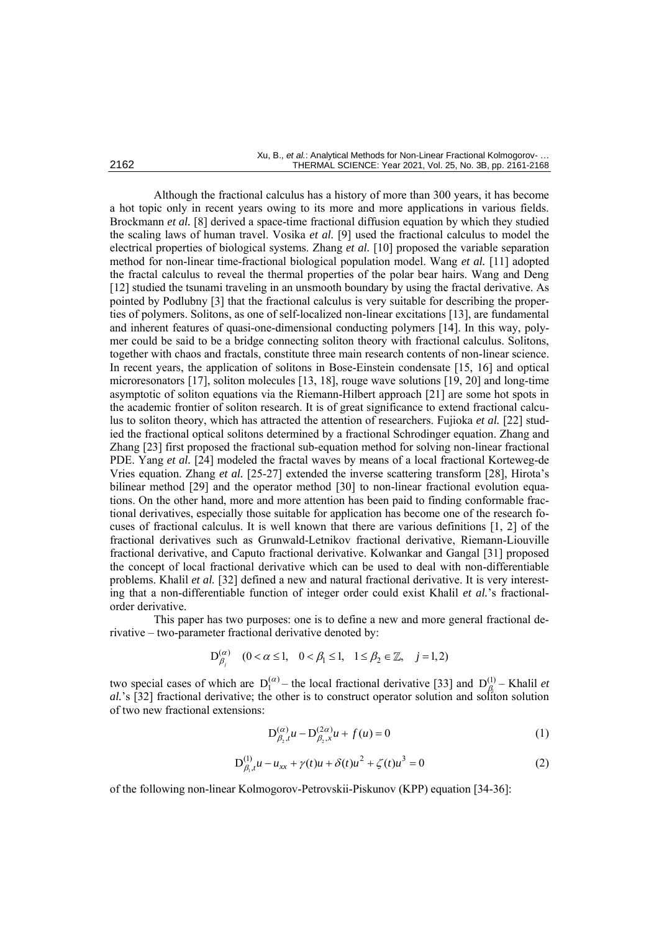Although the fractional calculus has a history of more than 300 years, it has become a hot topic only in recent years owing to its more and more applications in various fields. Brockmann *et al.* [8] derived a space-time fractional diffusion equation by which they studied the scaling laws of human travel. Vosika *et al.* [9] used the fractional calculus to model the electrical properties of biological systems. Zhang *et al.* [10] proposed the variable separation method for non-linear time-fractional biological population model. Wang *et al.* [11] adopted the fractal calculus to reveal the thermal properties of the polar bear hairs. Wang and Deng [12] studied the tsunami traveling in an unsmooth boundary by using the fractal derivative. As pointed by Podlubny [3] that the fractional calculus is very suitable for describing the properties of polymers. Solitons, as one of self-localized non-linear excitations [13], are fundamental and inherent features of quasi-one-dimensional conducting polymers [14]. In this way, polymer could be said to be a bridge connecting soliton theory with fractional calculus. Solitons, together with chaos and fractals, constitute three main research contents of non-linear science. In recent years, the application of solitons in Bose-Einstein condensate [15, 16] and optical microresonators [17], soliton molecules [13, 18], rouge wave solutions [19, 20] and long-time asymptotic of soliton equations via the Riemann-Hilbert approach [21] are some hot spots in the academic frontier of soliton research. It is of great significance to extend fractional calculus to soliton theory, which has attracted the attention of researchers. Fujioka *et al.* [22] studied the fractional optical solitons determined by a fractional Schrodinger equation. Zhang and Zhang [23] first proposed the fractional sub-equation method for solving non-linear fractional PDE. Yang *et al.* [24] modeled the fractal waves by means of a local fractional Korteweg-de Vries equation. Zhang *et al.* [25-27] extended the inverse scattering transform [28], Hirota's bilinear method [29] and the operator method [30] to non-linear fractional evolution equations. On the other hand, more and more attention has been paid to finding conformable fractional derivatives, especially those suitable for application has become one of the research focuses of fractional calculus. It is well known that there are various definitions [1, 2] of the fractional derivatives such as Grunwald-Letnikov fractional derivative, Riemann-Liouville fractional derivative, and Caputo fractional derivative. Kolwankar and Gangal [31] proposed the concept of local fractional derivative which can be used to deal with non-differentiable problems. Khalil *et al.* [32] defined a new and natural fractional derivative. It is very interesting that a non-differentiable function of integer order could exist Khalil *et al.*'s fractionalorder derivative.

This paper has two purposes: one is to define a new and more general fractional de-

private – two-parameter fractional derivative denoted by:

\n
$$
D_{\beta_j}^{(\alpha)} \quad (0 < \alpha \le 1, \quad 0 < \beta_1 \le 1, \quad 1 \le \beta_2 \in \mathbb{Z}, \quad j = 1, 2)
$$

two special cases of which are  $D_1^{(\alpha)}$  – the local fractional derivative [33] and  $D_{\beta}^{(1)}$  – Khalil *et* al.'s [32] fractional derivative; the other is to construct operator solution and soliton solution of two new fractional extensions:

$$
D_{\beta_2,t}^{(\alpha)}u - D_{\beta_2,x}^{(2\alpha)}u + f(u) = 0
$$
 (1)

$$
D_{\beta_1,t}^{(1)}u - u_{xx} + \gamma(t)u + \delta(t)u^2 + \zeta(t)u^3 = 0
$$
 (2)

of the following non-linear Kolmogorov-Petrovskii-Piskunov (KPP) equation [34-36]: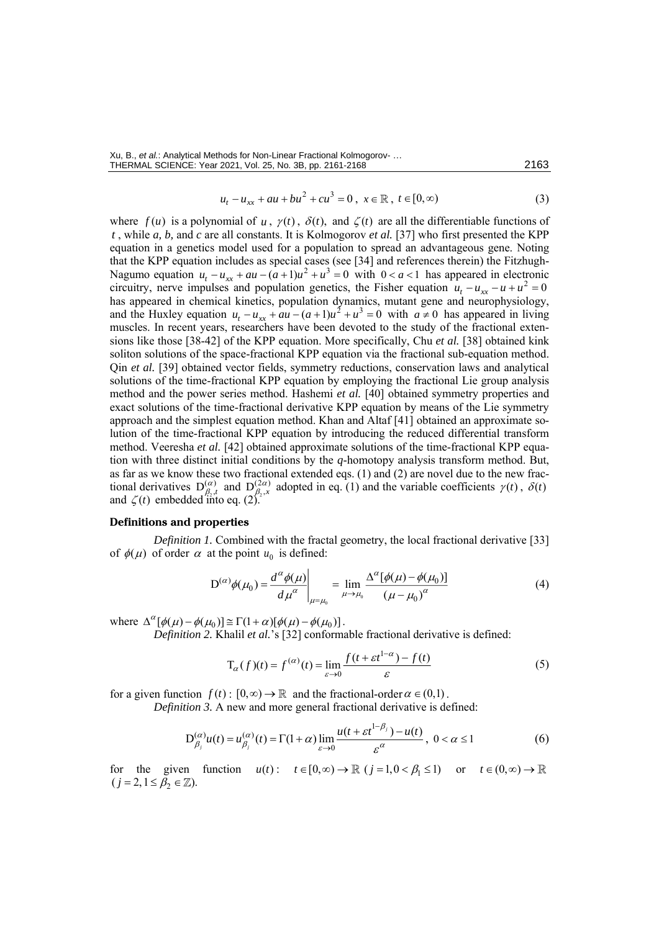Xu, B., *et al.*: Analytical Methods for Non-Linear Fractional Kolmogorov- … THERMAL SCIENCE: Year 2021, Vol. 25, No. 3B, pp[. 2161-](#page-0-0)[2168](#page-7-0) 2163

$$
u_t - u_{xx} + au + bu^2 + cu^3 = 0, \ x \in \mathbb{R}, \ t \in [0, \infty)
$$
 (3)

where  $f(u)$  is a polynomial of  $u$ ,  $\gamma(t)$ ,  $\delta(t)$ , and  $\zeta(t)$  are all the differentiable functions of *t* , while *a, b,* and *c* are all constants. It is Kolmogorov *et al.* [37] who first presented the KPP equation in a genetics model used for a population to spread an advantageous gene. Noting that the KPP equation includes as special cases (see [34] and references therein) the Fitzhugh-Nagumo equation  $u_t - u_{xx} + au - (a+1)u^2 + u^3 = 0$  with  $0 < a < 1$  has appeared in electronic circuitry, nerve impulses and population genetics, the Fisher equation  $u_t - u_{xx} - u + u^2 = 0$ has appeared in chemical kinetics, population dynamics, mutant gene and neurophysiology, and the Huxley equation  $u_t - u_{xx} + au - (a+1)u^2 + u^3 = 0$  with  $a \neq 0$  has appeared in living muscles. In recent years, researchers have been devoted to the study of the fractional extensions like those [38-42] of the KPP equation. More specifically, Chu *et al.* [38] obtained kink soliton solutions of the space-fractional KPP equation via the fractional sub-equation method. Qin *et al.* [39] obtained vector fields, symmetry reductions, conservation laws and analytical solutions of the time-fractional KPP equation by employing the fractional Lie group analysis method and the power series method. Hashemi *et al.* [40] obtained symmetry properties and exact solutions of the time-fractional derivative KPP equation by means of the Lie symmetry approach and the simplest equation method. Khan and Altaf [41] obtained an approximate solution of the time-fractional KPP equation by introducing the reduced differential transform method. Veeresha *et al.* [42] obtained approximate solutions of the time-fractional KPP equation with three distinct initial conditions by the *q*-homotopy analysis transform method. But, as far as we know these two fractional extended eqs. (1) and (2) are novel due to the new fractional derivatives  $D_{\beta_2,t}^{(\alpha)}$  and  $D_{\beta_2,x}^{(2\alpha)}$  $\beta_{\beta,x}^{(2\alpha)}$  adopted in eq. (1) and the variable coefficients  $\gamma(t)$ ,  $\delta(t)$ and  $\zeta(t)$  embedded into eq. (2).

## **Definitions and properties**

*Definition 1.* Combined with the fractal geometry, the local fractional derivative [33] of  $\phi(\mu)$  of order  $\alpha$  at the point  $u_0$  is defined:

$$
D^{(\alpha)}\phi(\mu_0) = \frac{d^{\alpha}\phi(\mu)}{d\mu^{\alpha}}\bigg|_{\mu=\mu_0} = \lim_{\mu \to \mu_0} \frac{\Delta^{\alpha}[\phi(\mu) - \phi(\mu_0)]}{(\mu - \mu_0)^{\alpha}}
$$
(4)

where  $\Delta^{\alpha} [\phi(\mu) - \phi(\mu_0)] \cong \Gamma(1 + \alpha) [\phi(\mu) - \phi(\mu_0)].$ 

*Definition 2.* Khalil *et al.*'s [32] conformable fractional derivative is defined:

$$
T_{\alpha}(f)(t) = f^{(\alpha)}(t) = \lim_{\varepsilon \to 0} \frac{f(t + \varepsilon t^{1-\alpha}) - f(t)}{\varepsilon}
$$
\n(5)

for a given function  $f(t) : [0, \infty) \to \mathbb{R}$  and the fractional-order  $\alpha \in (0,1)$ .

*Definition 3.* A new and more general fractional derivative is defined:

$$
D_{\beta_j}^{(\alpha)}u(t) = u_{\beta_j}^{(\alpha)}(t) = \Gamma(1+\alpha)\lim_{\varepsilon \to 0} \frac{u(t + \varepsilon t^{1-\beta_j}) - u(t)}{\varepsilon^{\alpha}}, \ 0 < \alpha \le 1
$$
 (6)

for the given function  $u(t)$ :  $t \in [0, \infty) \to \mathbb{R}$  ( $j = 1, 0 < \beta_1 \le 1$ ) or  $t \in (0, \infty) \to$  $(j = 2, 1 \leq \beta_2 \in \mathbb{Z}).$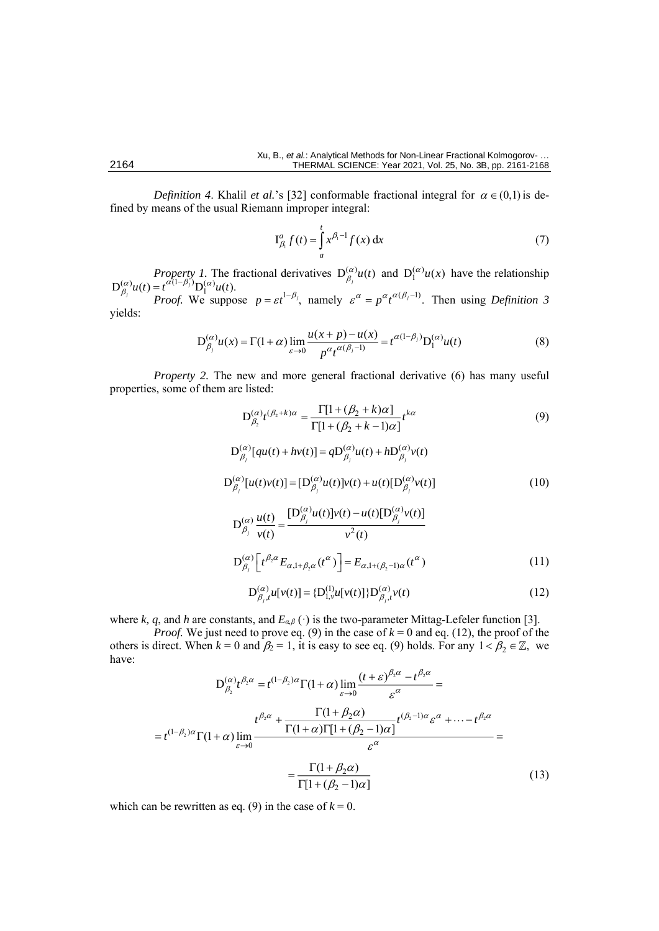*Definition 4.* Khalil *et al.*'s [32] conformable fractional integral for  $\alpha \in (0,1)$  is defined by means of the usual Riemann improper integral:

$$
\mathrm{I}_{\beta_1}^a f(t) = \int_a^t x^{\beta_1 - 1} f(x) \, \mathrm{d}x \tag{7}
$$

*Property 1.* The fractional derivatives  $D_{\beta_i}^{(\alpha)}u(t)$  and  $D_1^{(\alpha)}u(x)$  have the relationship  $D_{\beta}^{(\alpha)}u(t) = t^{\alpha(1-\beta)}D_1^{(\alpha)}u(t).$  $\begin{cases}\n\frac{(\alpha)}{\beta_j} u(t) = t^{\alpha(1-\beta_j)} D_1^{(\alpha)} u(t). \\
\frac{P}{\beta_j} \text{Proof. We suppose } p = \varepsilon t^{1-\beta_j}, \text{ namely } \varepsilon^{\alpha} = p^{\alpha} t^{\alpha(\beta_j-1)}. \text{ Then using Definition 3.} \n\end{cases}$ yields:

$$
D_{\beta_j}^{(\alpha)} u(x) = \Gamma(1+\alpha) \lim_{\varepsilon \to 0} \frac{u(x+p) - u(x)}{p^{\alpha} t^{\alpha(\beta_j - 1)}} = t^{\alpha(1-\beta_j)} D_1^{(\alpha)} u(t)
$$
(8)

*Property 2.* The new and more general fractional derivative (6) has many useful properties, some of them are listed:

$$
D_{\beta_2}^{(\alpha)} t^{(\beta_2 + k)\alpha} = \frac{\Gamma[1 + (\beta_2 + k)\alpha]}{\Gamma[1 + (\beta_2 + k - 1)\alpha]} t^{k\alpha}
$$
(9)  

$$
D_{\beta_j}^{(\alpha)}[qu(t) + hv(t)] = qD_{\beta_j}^{(\alpha)}u(t) + hD_{\beta_j}^{(\alpha)}v(t)
$$
  

$$
D_{\beta_j}^{(\alpha)}[u(t)v(t)] = [D_{\beta_j}^{(\alpha)}u(t)]v(t) + u(t)[D_{\beta_j}^{(\alpha)}v(t)]
$$
(10)

$$
D_{\beta_j}^{(\alpha)} \frac{u(t)}{v(t)} = \frac{[D_{\beta_j}^{(\alpha)} u(t)] v(t) - u(t) [D_{\beta_j}^{(\alpha)} v(t)]}{v^2(t)}
$$
  

$$
D_{\beta_j}^{(\alpha)} \left[ t^{\beta_2 \alpha} E_{\alpha, 1 + \beta_2 \alpha}(t^{\alpha}) \right] = E_{\alpha, 1 + (\beta_2 - 1)\alpha}(t^{\alpha})
$$
(11)

$$
D_{\beta_j,t}^{(\alpha)}u[v(t)] = \{D_{1,v}^{(1)}u[v(t)]\}D_{\beta_j,t}^{(\alpha)}v(t)
$$
\n(12)

where *k, q*, and *h* are constants, and *Eα,β* (·) is the two-parameter Mittag-Lefeler function [3].

*Proof.* We just need to prove eq. (9) in the case of  $k = 0$  and eq. (12), the proof of the others is direct. When  $k = 0$  and  $\beta_2 = 1$ , it is easy to see eq. (9) holds. For any  $1 < \beta_2 \in \mathbb{Z}$ , we have:

$$
D_{\beta_2}^{(\alpha)} t^{\beta_2 \alpha} = t^{(1-\beta_2)\alpha} \Gamma(1+\alpha) \lim_{\varepsilon \to 0} \frac{(t+\varepsilon)^{\beta_2 \alpha} - t^{\beta_2 \alpha}}{\varepsilon^{\alpha}} =
$$
  

$$
= t^{(1-\beta_2)\alpha} \Gamma(1+\alpha) \lim_{\varepsilon \to 0} \frac{t^{\beta_2 \alpha} + \frac{\Gamma(1+\beta_2 \alpha)}{\Gamma(1+\alpha)\Gamma[1+(\beta_2-1)\alpha]} t^{(\beta_2-1)\alpha} \varepsilon^{\alpha} + \dots - t^{\beta_2 \alpha}}{\varepsilon^{\alpha}} =
$$
  

$$
= \frac{\Gamma(1+\beta_2 \alpha)}{\Gamma[1+(\beta_2-1)\alpha]}
$$
(13)

which can be rewritten as eq. (9) in the case of  $k = 0$ .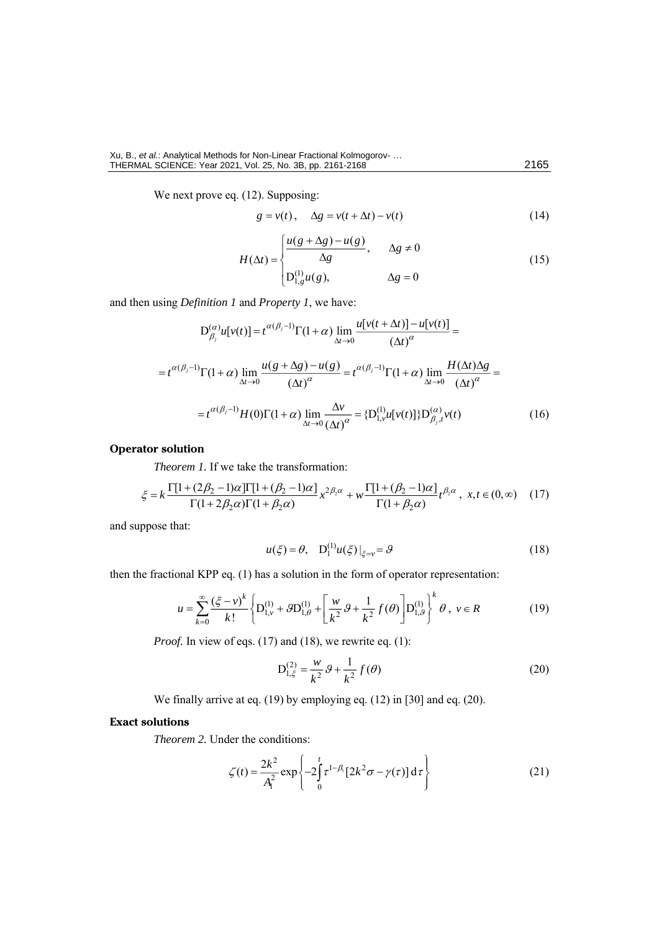We next prove eq. (12). Supposing:

$$
g = v(t), \quad \Delta g = v(t + \Delta t) - v(t) \tag{14}
$$

$$
H(\Delta t) = \begin{cases} \frac{u(g + \Delta g) - u(g)}{\Delta g}, & \Delta g \neq 0\\ D_{1,g}^{(1)} u(g), & \Delta g = 0 \end{cases}
$$
 (15)

and then using *Definition 1* and *Property 1*, we have:  
\n
$$
D_{\beta_j}^{(\alpha)} u[v(t)] = t^{\alpha(\beta_j - 1)} \Gamma(1 + \alpha) \lim_{\Delta t \to 0} \frac{u[v(t + \Delta t)] - u[v(t)]}{(\Delta t)^{\alpha}} =
$$
\n
$$
= t^{\alpha(\beta_j - 1)} \Gamma(1 + \alpha) \lim_{\Delta t \to 0} \frac{u(g + \Delta g) - u(g)}{(\Delta t)^{\alpha}} = t^{\alpha(\beta_j - 1)} \Gamma(1 + \alpha) \lim_{\Delta t \to 0} \frac{H(\Delta t) \Delta g}{(\Delta t)^{\alpha}} =
$$
\n
$$
= t^{\alpha(\beta_j - 1)} H(0) \Gamma(1 + \alpha) \lim_{\Delta t \to 0} \frac{\Delta v}{(\Delta t)^{\alpha}} = \{D_{1, v}^{(1)} u[v(t)]\} D_{\beta_j, t}^{(\alpha)} v(t) \tag{16}
$$

# **Operator solution**

*Theorem 1.* If we take the transformation:

$$
\xi = k \frac{\Gamma[1 + (2\beta_2 - 1)\alpha]\Gamma[1 + (\beta_2 - 1)\alpha]}{\Gamma(1 + 2\beta_2 \alpha)\Gamma(1 + \beta_2 \alpha)} x^{2\beta_2 \alpha} + w \frac{\Gamma[1 + (\beta_2 - 1)\alpha]}{\Gamma(1 + \beta_2 \alpha)} t^{\beta_2 \alpha}, \ x, t \in (0, \infty) \quad (17)
$$

and suppose that:

$$
u(\xi) = \theta, \quad D_1^{(1)} u(\xi)|_{\xi = v} = \theta \tag{18}
$$

then the fractional KPP eq. (1) has a solution in the form of operator representation:

$$
u = \sum_{k=0}^{\infty} \frac{(\xi - v)^k}{k!} \left\{ D_{1,v}^{(1)} + \mathcal{G}D_{1,\theta}^{(1)} + \left[ \frac{w}{k^2} \mathcal{G} + \frac{1}{k^2} f(\theta) \right] D_{1,\theta}^{(1)} \right\}^k \theta, \ v \in R
$$
 (19)

*Proof.* In view of eqs. (17) and (18), we rewrite eq. (1):

$$
D_{1,\xi}^{(2)} = \frac{w}{k^2} \mathcal{G} + \frac{1}{k^2} f(\theta)
$$
 (20)

We finally arrive at eq. (19) by employing eq. (12) in [30] and eq. (20).

# **Exact solutions**

**Theorem 2. Under the conditions:** 

$$
\zeta(t) = \frac{2k^2}{A_1^2} \exp\left\{-2\int_0^t \tau^{1-\beta_1} [2k^2 \sigma - \gamma(\tau)] d\tau\right\}
$$
 (21)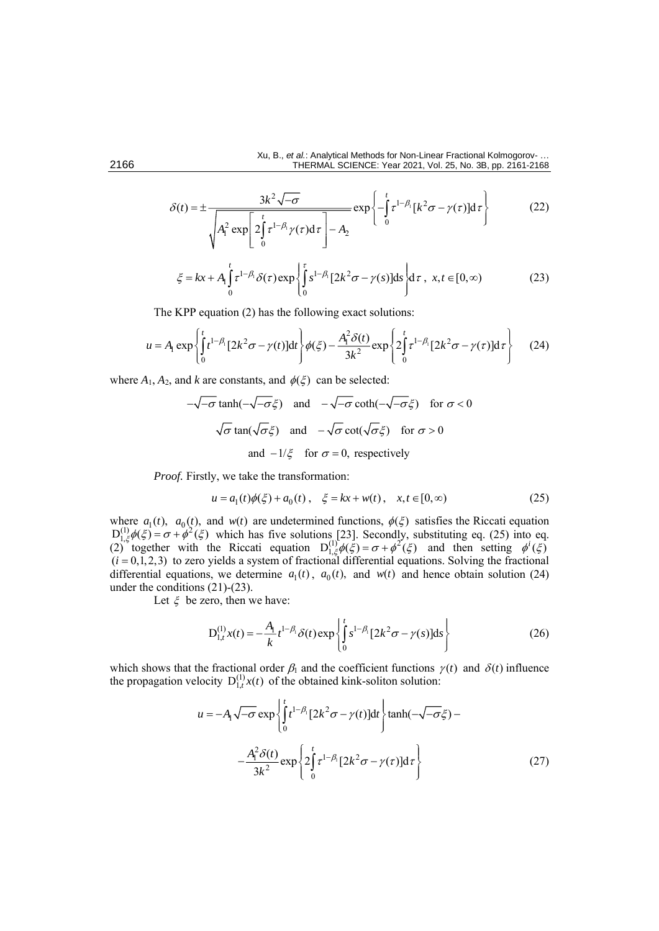$$
\delta(t) = \pm \frac{3k^2 \sqrt{-\sigma}}{\sqrt{A_1^2 \exp\left[2\int_0^t \tau^{1-\beta_1}\gamma(\tau)d\tau\right] - A_2}} \exp\left\{-\int_0^t \tau^{1-\beta_1}[k^2 \sigma - \gamma(\tau)]d\tau\right\}
$$
(22)

$$
\begin{aligned}\n\sqrt{\xi} &= kx + A_1 \int_0^t \tau^{1-\beta_1} \delta(\tau) \exp\left\{ \int_0^{\tau} s^{1-\beta_1} [2k^2 \sigma - \gamma(s)] \, \mathrm{d}s \right\} \mathrm{d}\tau \,, \ x, t \in [0, \infty)\n\end{aligned} \tag{23}
$$

The KPP equation (2) has the following exact solutions:

$$
u = A_1 \exp\left\{ \int_0^t t^{1-\beta_1} [2k^2 \sigma - \gamma(t)] dt \right\} \phi(\xi) - \frac{A_1^2 \delta(t)}{3k^2} \exp\left\{ 2 \int_0^t \tau^{1-\beta_1} [2k^2 \sigma - \gamma(\tau)] d\tau \right\}
$$
(24)

where 
$$
A_1, A_2
$$
, and k are constants, and  $\phi(\xi)$  can be selected:  
\n
$$
-\sqrt{-\sigma} \tanh(-\sqrt{-\sigma}\xi) \quad \text{and} \quad -\sqrt{-\sigma} \coth(-\sqrt{-\sigma}\xi) \quad \text{for } \sigma < 0
$$
\n
$$
\sqrt{\sigma} \tan(\sqrt{\sigma}\xi) \quad \text{and} \quad -\sqrt{\sigma} \cot(\sqrt{\sigma}\xi) \quad \text{for } \sigma > 0
$$
\nand  $-1/\xi$  for  $\sigma = 0$ , respectively

*Proof.* Firstly, we take the transformation:

$$
u = a_1(t)\phi(\xi) + a_0(t), \quad \xi = kx + w(t), \quad x, t \in [0, \infty)
$$
 (25)

where  $a_1(t)$ ,  $a_0(t)$ , and  $w(t)$  are undetermined functions,  $\phi(\xi)$  satisfies the Riccati equation  $D_{1,\xi}^{(1)}\phi(\xi) = \sigma + \phi^2(\xi)$  which has five solutions [23]. Secondly, substituting eq. (25) into eq. (2) together with the Riccati equation  $D_{1,\xi}^{(1)} \phi(\xi) = \sigma + \phi^2(\xi)$  and then setting  $\phi^i(\xi)$  $(i = 0, 1, 2, 3)$  to zero yields a system of fractional differential equations. Solving the fractional differential equations, we determine  $a_1(t)$ ,  $a_0(t)$ , and  $w(t)$  and hence obtain solution (24) under the conditions (21)-(23).

Let  $\xi$  be zero, then we have:

$$
D_{1,t}^{(1)}x(t) = -\frac{A_1}{k}t^{1-\beta_1}\delta(t)\exp\left\{\int_0^t s^{1-\beta_1}[2k^2\sigma - \gamma(s)]ds\right\}
$$
 (26)

which shows that the fractional order  $\beta_1$  and the coefficient functions  $\gamma(t)$  and  $\delta(t)$  influence the propagation velocity  $D_{1,t}^{(1)}x(t)$  of the obtained kink-soliton solution:

$$
u = -A_1 \sqrt{-\sigma} \exp \left\{ \int_0^t t^{1-\beta_1} [2k^2 \sigma - \gamma(t)] dt \right\} \tanh(-\sqrt{-\sigma}\xi) -
$$

$$
- \frac{A_1^2 \delta(t)}{3k^2} \exp \left\{ 2 \int_0^t \tau^{1-\beta_1} [2k^2 \sigma - \gamma(\tau)] d\tau \right\}
$$
(27)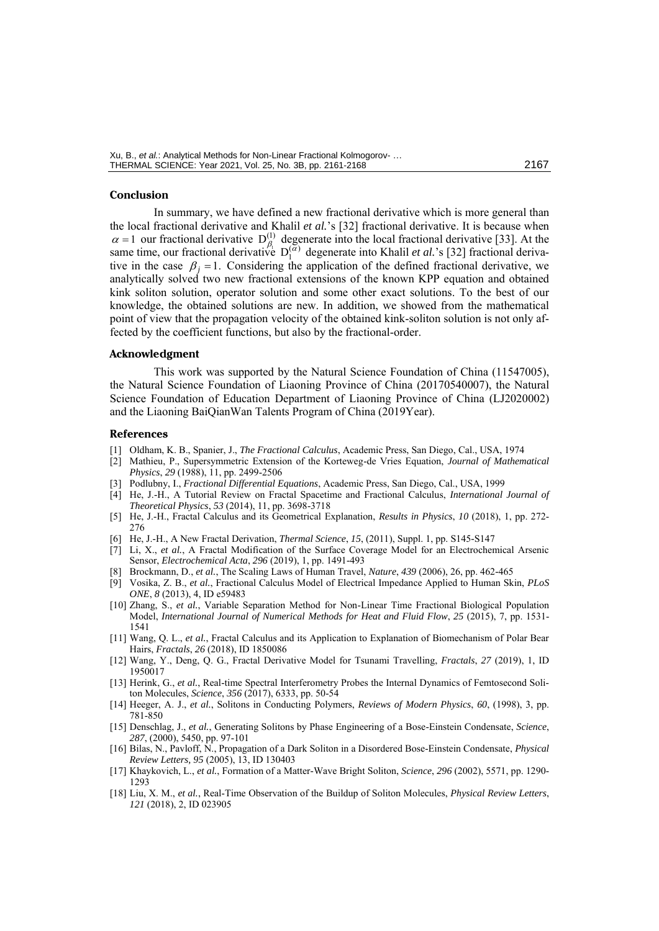#### **Conclusion**

In summary, we have defined a new fractional derivative which is more general than the local fractional derivative and Khalil *et al.*'s [32] fractional derivative. It is because when  $\alpha = 1$  our fractional derivative  $D_{\beta_1}^{(1)}$  degenerate into the local fractional derivative [33]. At the same time, our fractional derivative  $D_1^{(\alpha)}$  degenerate into Khalil *et al.*'s [32] fractional derivative in the case  $\beta_j = 1$ . Considering the application of the defined fractional derivative, we analytically solved two new fractional extensions of the known KPP equation and obtained kink soliton solution, operator solution and some other exact solutions. To the best of our knowledge, the obtained solutions are new. In addition, we showed from the mathematical point of view that the propagation velocity of the obtained kink-soliton solution is not only affected by the coefficient functions, but also by the fractional-order.

### **Acknowledgment**

This work was supported by the Natural Science Foundation of China (11547005), the Natural Science Foundation of Liaoning Province of China (20170540007), the Natural Science Foundation of Education Department of Liaoning Province of China (LJ2020002) and the Liaoning BaiQianWan Talents Program of China (2019Year).

### **References**

- [1] Oldham, K. B., Spanier, J., *The Fractional Calculus*, Academic Press, San Diego, Cal., USA, 1974
- [2] Mathieu, P., Supersymmetric Extension of the Korteweg-de Vries Equation, *Journal of Mathematical Physics*, *29* (1988), 11, pp. 2499-2506
- [3] Podlubny, I., *Fractional Differential Equations*, Academic Press, San Diego, Cal., USA, 1999
- [4] He, J.-H., A Tutorial Review on Fractal Spacetime and Fractional Calculus, *International Journal of Theoretical Physics*, *53* (2014), 11, pp. 3698-3718
- [5] He, J.-H., Fractal Calculus and its Geometrical Explanation, *Results in Physics*, *10* (2018), 1, pp. 272- 276
- [6] He, J.-H., A New Fractal Derivation, *Thermal Science*, *15*, (2011), Suppl. 1, pp. S145*-*S147
- [7] Li, X., *et al.*, A Fractal Modification of the Surface Coverage Model for an Electrochemical Arsenic Sensor, *Electrochemical Acta*, *296* (2019), 1, pp. 1491*-*493
- [8] Brockmann, D., *et al.*, The Scaling Laws of Human Travel, *Nature*, *439* (2006), 26, pp. 462*-*465
- [9] Vosika, Z. B., *et al.*, Fractional Calculus Model of Electrical Impedance Applied to Human Skin, *PLoS ONE*, *8* (2013), 4, ID e59483
- [10] Zhang, S., *et al.*, Variable Separation Method for Non-Linear Time Fractional Biological Population Model, *International Journal of Numerical Methods for Heat and Fluid Flow*, *25* (2015), 7, pp. 1531- 1541
- [11] Wang, Q. L., *et al.*, Fractal Calculus and its Application to Explanation of Biomechanism of Polar Bear Hairs, *Fractals*, *26* (2018), ID 1850086
- [12] Wang, Y., Deng, Q. G., Fractal Derivative Model for Tsunami Travelling, *Fractals*, *27* (2019), 1, ID 1950017
- [13] Herink, G., *et al.*, Real-time Spectral Interferometry Probes the Internal Dynamics of Femtosecond Soliton Molecules, *Science*, *356* (2017), 6333, pp. 50-54
- [14] Heeger, A. J., *et al.*, Solitons in Conducting Polymers, *Reviews of Modern Physics*, *60*, (1998), 3, pp. 781-850
- [15] Denschlag, J., *et al.*, Generating Solitons by Phase Engineering of a Bose-Einstein Condensate, *Science*, *287*, (2000), 5450, pp. 97-101
- [16] Bilas, N., Pavloff, N., Propagation of a Dark Soliton in a Disordered Bose-Einstein Condensate, *Physical Review Letters, 95* (2005), 13, ID 130403
- [17] Khaykovich, L., *et al.*, Formation of a Matter-Wave Bright Soliton, *Science*, *296* (2002), 5571, pp. 1290- 1293
- [18] Liu, X. M., *et al.*, Real-Time Observation of the Buildup of Soliton Molecules, *Physical Review Letters*, *121* (2018), 2, ID 023905